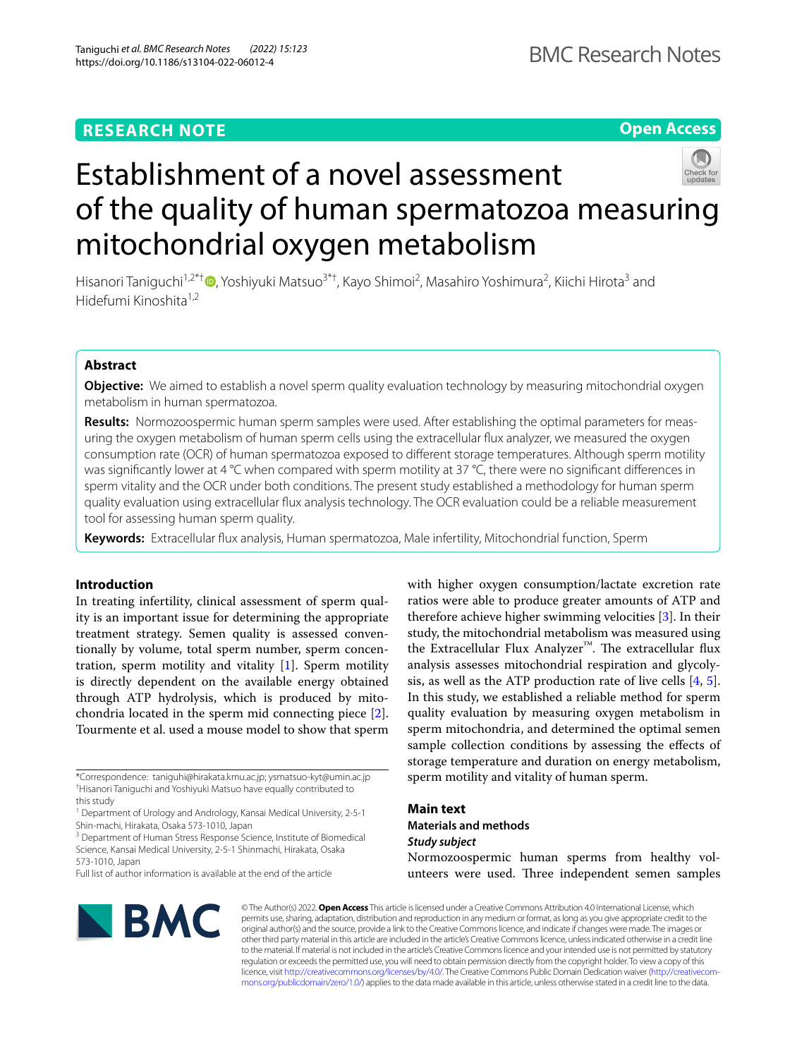# **RESEARCH NOTE**

**Open Access**

# Establishment of a novel assessment of the quality of human spermatozoa measuring mitochondrial oxygen metabolism

Hisanori Taniguchi<sup>1[,](http://orcid.org/0000-0002-7404-0369)2\*†</sup>®, Yoshiyuki Matsuo<sup>3\*†</sup>, Kayo Shimoi<sup>2</sup>, Masahiro Yoshimura<sup>2</sup>, Kiichi Hirota<sup>3</sup> and Hidefumi Kinoshita<sup>1,2</sup>

# **Abstract**

**Objective:** We aimed to establish a novel sperm quality evaluation technology by measuring mitochondrial oxygen metabolism in human spermatozoa.

**Results:** Normozoospermic human sperm samples were used. After establishing the optimal parameters for measuring the oxygen metabolism of human sperm cells using the extracellular fux analyzer, we measured the oxygen consumption rate (OCR) of human spermatozoa exposed to diferent storage temperatures. Although sperm motility was significantly lower at 4 °C when compared with sperm motility at 37 °C, there were no significant differences in sperm vitality and the OCR under both conditions. The present study established a methodology for human sperm quality evaluation using extracellular fux analysis technology. The OCR evaluation could be a reliable measurement tool for assessing human sperm quality.

**Keywords:** Extracellular fux analysis, Human spermatozoa, Male infertility, Mitochondrial function, Sperm

# **Introduction**

In treating infertility, clinical assessment of sperm quality is an important issue for determining the appropriate treatment strategy. Semen quality is assessed conventionally by volume, total sperm number, sperm concentration, sperm motility and vitality [[1](#page-5-0)]. Sperm motility is directly dependent on the available energy obtained through ATP hydrolysis, which is produced by mitochondria located in the sperm mid connecting piece [\[2](#page-5-1)]. Tourmente et al. used a mouse model to show that sperm

\*Correspondence: taniguhi@hirakata.kmu.ac.jp; ysmatsuo-kyt@umin.ac.jp † Hisanori Taniguchi and Yoshiyuki Matsuo have equally contributed to this study

<sup>1</sup> Department of Urology and Andrology, Kansai Medical University, 2-5-1 Shin-machi, Hirakata, Osaka 573-1010, Japan

<sup>3</sup> Department of Human Stress Response Science, Institute of Biomedical Science, Kansai Medical University, 2-5-1 Shinmachi, Hirakata, Osaka 573-1010, Japan

Full list of author information is available at the end of the article



with higher oxygen consumption/lactate excretion rate ratios were able to produce greater amounts of ATP and therefore achieve higher swimming velocities [\[3](#page-5-2)]. In their study, the mitochondrial metabolism was measured using the Extracellular Flux Analyzer<sup>™</sup>. The extracellular flux analysis assesses mitochondrial respiration and glycolysis, as well as the ATP production rate of live cells [\[4](#page-5-3), [5](#page-5-4)]. In this study, we established a reliable method for sperm quality evaluation by measuring oxygen metabolism in sperm mitochondria, and determined the optimal semen sample collection conditions by assessing the efects of storage temperature and duration on energy metabolism, sperm motility and vitality of human sperm.

# **Main text Materials and methods** *Study subject*

Normozoospermic human sperms from healthy volunteers were used. Three independent semen samples

© The Author(s) 2022. **Open Access** This article is licensed under a Creative Commons Attribution 4.0 International License, which permits use, sharing, adaptation, distribution and reproduction in any medium or format, as long as you give appropriate credit to the original author(s) and the source, provide a link to the Creative Commons licence, and indicate if changes were made. The images or other third party material in this article are included in the article's Creative Commons licence, unless indicated otherwise in a credit line to the material. If material is not included in the article's Creative Commons licence and your intended use is not permitted by statutory regulation or exceeds the permitted use, you will need to obtain permission directly from the copyright holder. To view a copy of this licence, visit [http://creativecommons.org/licenses/by/4.0/.](http://creativecommons.org/licenses/by/4.0/) The Creative Commons Public Domain Dedication waiver ([http://creativecom](http://creativecommons.org/publicdomain/zero/1.0/)[mons.org/publicdomain/zero/1.0/\)](http://creativecommons.org/publicdomain/zero/1.0/) applies to the data made available in this article, unless otherwise stated in a credit line to the data.

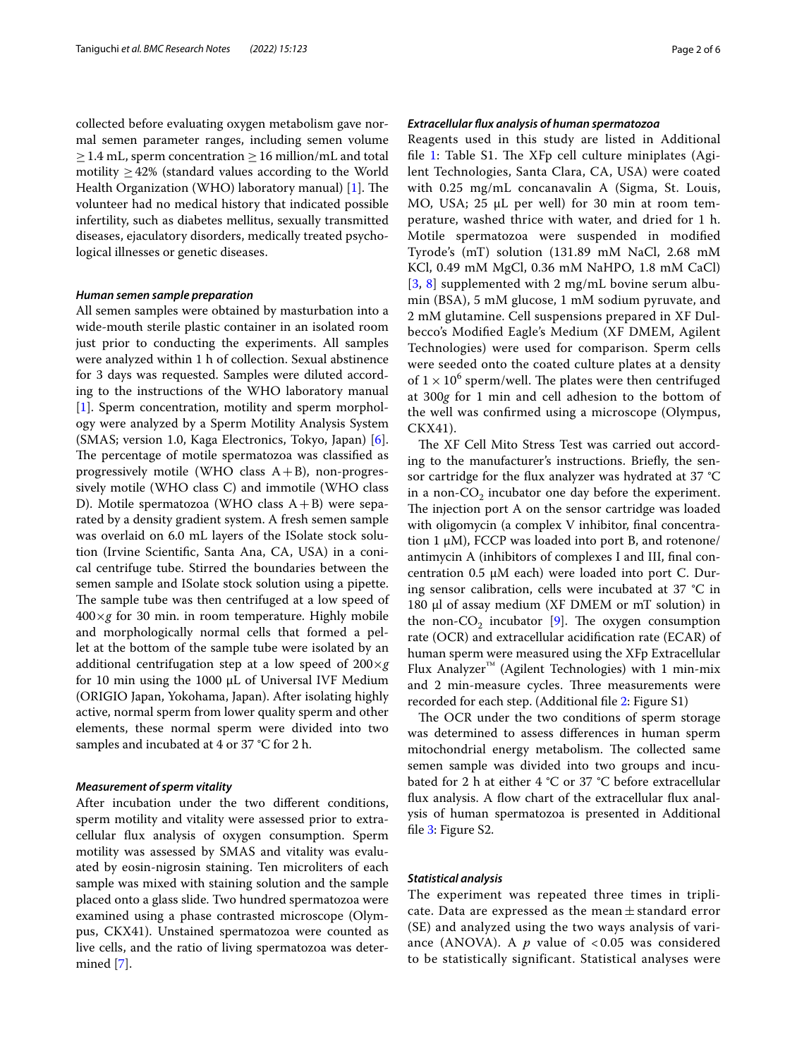collected before evaluating oxygen metabolism gave normal semen parameter ranges, including semen volume  $\geq$  1.4 mL, sperm concentration  $\geq$  16 million/mL and total motility  $\geq$  42% (standard values according to the World Health Organization (WHO) laboratory manual) [\[1](#page-5-0)]. The volunteer had no medical history that indicated possible infertility, such as diabetes mellitus, sexually transmitted diseases, ejaculatory disorders, medically treated psychological illnesses or genetic diseases.

#### *Human semen sample preparation*

All semen samples were obtained by masturbation into a wide-mouth sterile plastic container in an isolated room just prior to conducting the experiments. All samples were analyzed within 1 h of collection. Sexual abstinence for 3 days was requested. Samples were diluted according to the instructions of the WHO laboratory manual [[1\]](#page-5-0). Sperm concentration, motility and sperm morphology were analyzed by a Sperm Motility Analysis System (SMAS; version 1.0, Kaga Electronics, Tokyo, Japan) [\[6](#page-5-5)]. The percentage of motile spermatozoa was classified as progressively motile (WHO class  $A+B$ ), non-progressively motile (WHO class C) and immotile (WHO class D). Motile spermatozoa (WHO class  $A + B$ ) were separated by a density gradient system. A fresh semen sample was overlaid on 6.0 mL layers of the ISolate stock solution (Irvine Scientifc, Santa Ana, CA, USA) in a conical centrifuge tube. Stirred the boundaries between the semen sample and ISolate stock solution using a pipette. The sample tube was then centrifuged at a low speed of 400×*g* for 30 min. in room temperature. Highly mobile and morphologically normal cells that formed a pellet at the bottom of the sample tube were isolated by an additional centrifugation step at a low speed of 200×*g* for 10 min using the 1000  $\mu$ L of Universal IVF Medium (ORIGIO Japan, Yokohama, Japan). After isolating highly active, normal sperm from lower quality sperm and other elements, these normal sperm were divided into two samples and incubated at 4 or 37 °C for 2 h.

# *Measurement of sperm vitality*

After incubation under the two diferent conditions, sperm motility and vitality were assessed prior to extracellular fux analysis of oxygen consumption. Sperm motility was assessed by SMAS and vitality was evaluated by eosin-nigrosin staining. Ten microliters of each sample was mixed with staining solution and the sample placed onto a glass slide. Two hundred spermatozoa were examined using a phase contrasted microscope (Olympus, CKX41). Unstained spermatozoa were counted as live cells, and the ratio of living spermatozoa was determined [\[7](#page-5-6)].

# *Extracellular fux analysis of human spermatozoa*

Reagents used in this study are listed in Additional file [1](#page-4-0): Table  $S1$ . The XFp cell culture miniplates (Agilent Technologies, Santa Clara, CA, USA) were coated with 0.25 mg/mL concanavalin A (Sigma, St. Louis, MO, USA; 25 µL per well) for 30 min at room temperature, washed thrice with water, and dried for 1 h. Motile spermatozoa were suspended in modifed Tyrode's (mT) solution (131.89 mM NaCl, 2.68 mM KCl, 0.49 mM MgCl, 0.36 mM NaHPO, 1.8 mM CaCl) [[3](#page-5-2), [8\]](#page-5-7) supplemented with 2 mg/mL bovine serum albumin (BSA), 5 mM glucose, 1 mM sodium pyruvate, and 2 mM glutamine. Cell suspensions prepared in XF Dulbecco's Modifed Eagle's Medium (XF DMEM, Agilent Technologies) were used for comparison. Sperm cells were seeded onto the coated culture plates at a density of  $1 \times 10^6$  sperm/well. The plates were then centrifuged at 300*g* for 1 min and cell adhesion to the bottom of the well was confrmed using a microscope (Olympus, CKX41).

The XF Cell Mito Stress Test was carried out according to the manufacturer's instructions. Briefy, the sensor cartridge for the fux analyzer was hydrated at 37 °C in a non- $CO<sub>2</sub>$  incubator one day before the experiment. The injection port A on the sensor cartridge was loaded with oligomycin (a complex V inhibitor, fnal concentration 1 μM), FCCP was loaded into port B, and rotenone/ antimycin A (inhibitors of complexes I and III, fnal concentration 0.5 μM each) were loaded into port C. During sensor calibration, cells were incubated at 37 °C in 180 μl of assay medium (XF DMEM or mT solution) in the non- $CO<sub>2</sub>$  incubator [\[9](#page-5-8)]. The oxygen consumption rate (OCR) and extracellular acidifcation rate (ECAR) of human sperm were measured using the XFp Extracellular Flux Analyzer™ (Agilent Technologies) with 1 min-mix and 2 min-measure cycles. Three measurements were recorded for each step. (Additional fle [2:](#page-4-1) Figure S1)

The OCR under the two conditions of sperm storage was determined to assess diferences in human sperm mitochondrial energy metabolism. The collected same semen sample was divided into two groups and incubated for 2 h at either 4 °C or 37 °C before extracellular flux analysis. A flow chart of the extracellular flux analysis of human spermatozoa is presented in Additional file [3](#page-4-2): Figure S2.

## *Statistical analysis*

The experiment was repeated three times in triplicate. Data are expressed as the mean  $\pm$  standard error (SE) and analyzed using the two ways analysis of variance (ANOVA). A  $p$  value of  $< 0.05$  was considered to be statistically significant. Statistical analyses were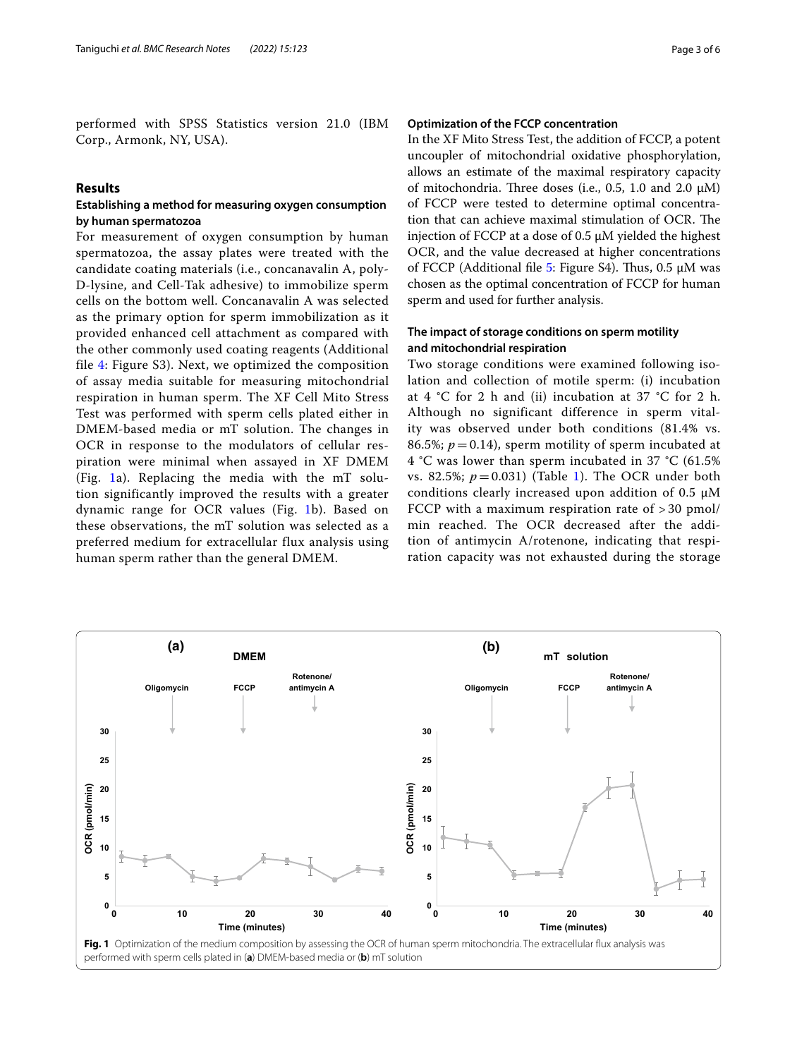performed with SPSS Statistics version 21.0 (IBM Corp., Armonk, NY, USA).

# **Results**

# **Establishing a method for measuring oxygen consumption by human spermatozoa**

For measurement of oxygen consumption by human spermatozoa, the assay plates were treated with the candidate coating materials (i.e., concanavalin A, poly-D-lysine, and Cell-Tak adhesive) to immobilize sperm cells on the bottom well. Concanavalin A was selected as the primary option for sperm immobilization as it provided enhanced cell attachment as compared with the other commonly used coating reagents (Additional file [4](#page-4-3): Figure S3). Next, we optimized the composition of assay media suitable for measuring mitochondrial respiration in human sperm. The XF Cell Mito Stress Test was performed with sperm cells plated either in DMEM-based media or mT solution. The changes in OCR in response to the modulators of cellular respiration were minimal when assayed in XF DMEM (Fig. [1a](#page-2-0)). Replacing the media with the mT solution significantly improved the results with a greater dynamic range for OCR values (Fig. [1b](#page-2-0)). Based on these observations, the mT solution was selected as a preferred medium for extracellular flux analysis using human sperm rather than the general DMEM.

# **Optimization of the FCCP concentration**

In the XF Mito Stress Test, the addition of FCCP, a potent uncoupler of mitochondrial oxidative phosphorylation, allows an estimate of the maximal respiratory capacity of mitochondria. Three doses (i.e., 0.5, 1.0 and 2.0  $\mu$ M) of FCCP were tested to determine optimal concentration that can achieve maximal stimulation of OCR. The injection of FCCP at a dose of 0.5 µM yielded the highest OCR, and the value decreased at higher concentrations of FCCP (Additional file [5](#page-4-4): Figure S4). Thus,  $0.5 \mu M$  was chosen as the optimal concentration of FCCP for human sperm and used for further analysis.

# **The impact of storage conditions on sperm motility and mitochondrial respiration**

Two storage conditions were examined following isolation and collection of motile sperm: (i) incubation at  $4 °C$  for 2 h and (ii) incubation at 37 °C for 2 h. Although no significant difference in sperm vitality was observed under both conditions (81.4% vs. 86.5%;  $p = 0.14$ ), sperm motility of sperm incubated at 4 °C was lower than sperm incubated in 37 °C (61.5% vs. 82.5%;  $p = 0.031$ ) (Table [1\)](#page-3-0). The OCR under both conditions clearly increased upon addition of 0.5  $\mu$ M FCCP with a maximum respiration rate of > 30 pmol/ min reached. The OCR decreased after the addition of antimycin A/rotenone, indicating that respiration capacity was not exhausted during the storage

<span id="page-2-0"></span>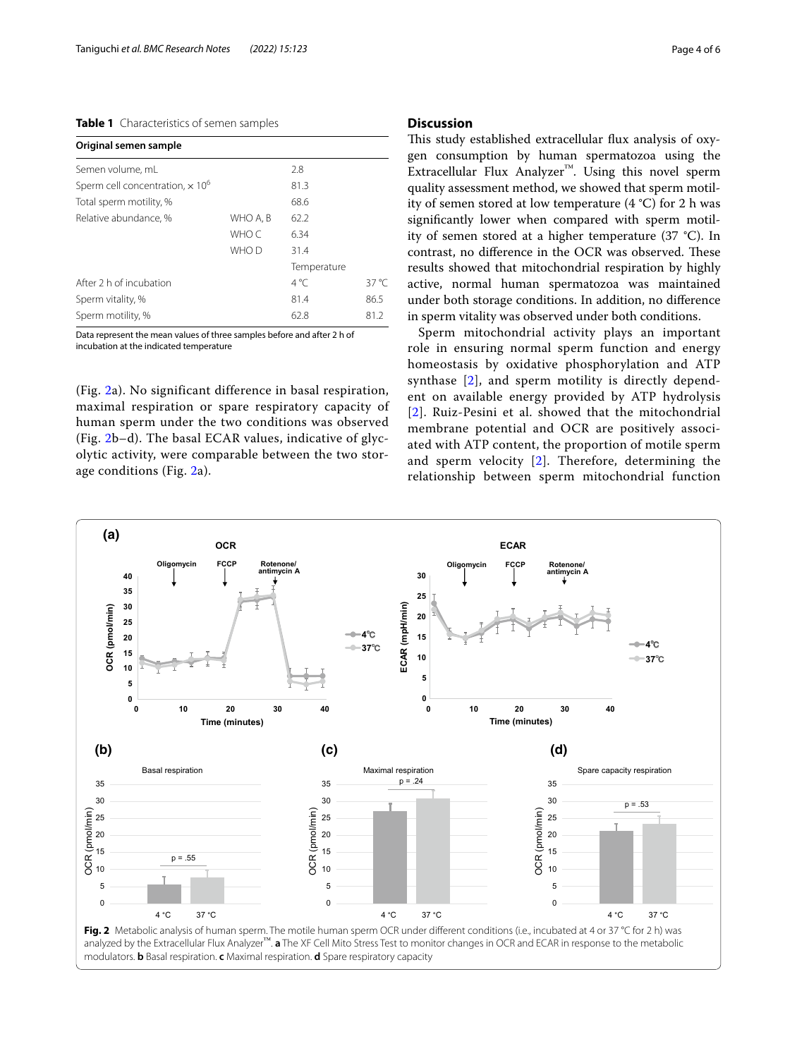# <span id="page-3-0"></span>**Table 1** Characteristics of semen samples

| Original semen sample                              |          |               |                |
|----------------------------------------------------|----------|---------------|----------------|
| Semen volume, mL                                   |          | 2.8           |                |
| Sperm cell concentration, $\times$ 10 <sup>6</sup> |          | 81.3          |                |
| Total sperm motility, %                            |          | 68.6          |                |
| Relative abundance. %                              | WHO A. B | 62.2          |                |
|                                                    | WHO C    | 6.34          |                |
|                                                    | WHO D    | 31.4          |                |
|                                                    |          | Temperature   |                |
| After 2 h of incubation                            |          | $4^{\circ}$ C | $37^{\circ}$ C |
| Sperm vitality, %                                  |          | 81.4          | 86.5           |
| Sperm motility, %                                  |          | 62.8          | 81.2           |

Data represent the mean values of three samples before and after 2 h of incubation at the indicated temperature

(Fig. [2a](#page-3-1)). No significant difference in basal respiration, maximal respiration or spare respiratory capacity of human sperm under the two conditions was observed (Fig. [2b](#page-3-1)–d). The basal ECAR values, indicative of glycolytic activity, were comparable between the two storage conditions (Fig. [2a](#page-3-1)).

# **Discussion**

This study established extracellular flux analysis of oxygen consumption by human spermatozoa using the Extracellular Flux Analyzer™. Using this novel sperm quality assessment method, we showed that sperm motility of semen stored at low temperature (4 °C) for 2 h was signifcantly lower when compared with sperm motility of semen stored at a higher temperature (37 °C). In contrast, no difference in the OCR was observed. These results showed that mitochondrial respiration by highly active, normal human spermatozoa was maintained under both storage conditions. In addition, no diference in sperm vitality was observed under both conditions.

Sperm mitochondrial activity plays an important role in ensuring normal sperm function and energy homeostasis by oxidative phosphorylation and ATP synthase [[2\]](#page-5-1), and sperm motility is directly dependent on available energy provided by ATP hydrolysis [[2](#page-5-1)]. Ruiz-Pesini et al. showed that the mitochondrial membrane potential and OCR are positively associated with ATP content, the proportion of motile sperm and sperm velocity [\[2](#page-5-1)]. Therefore, determining the relationship between sperm mitochondrial function

<span id="page-3-1"></span>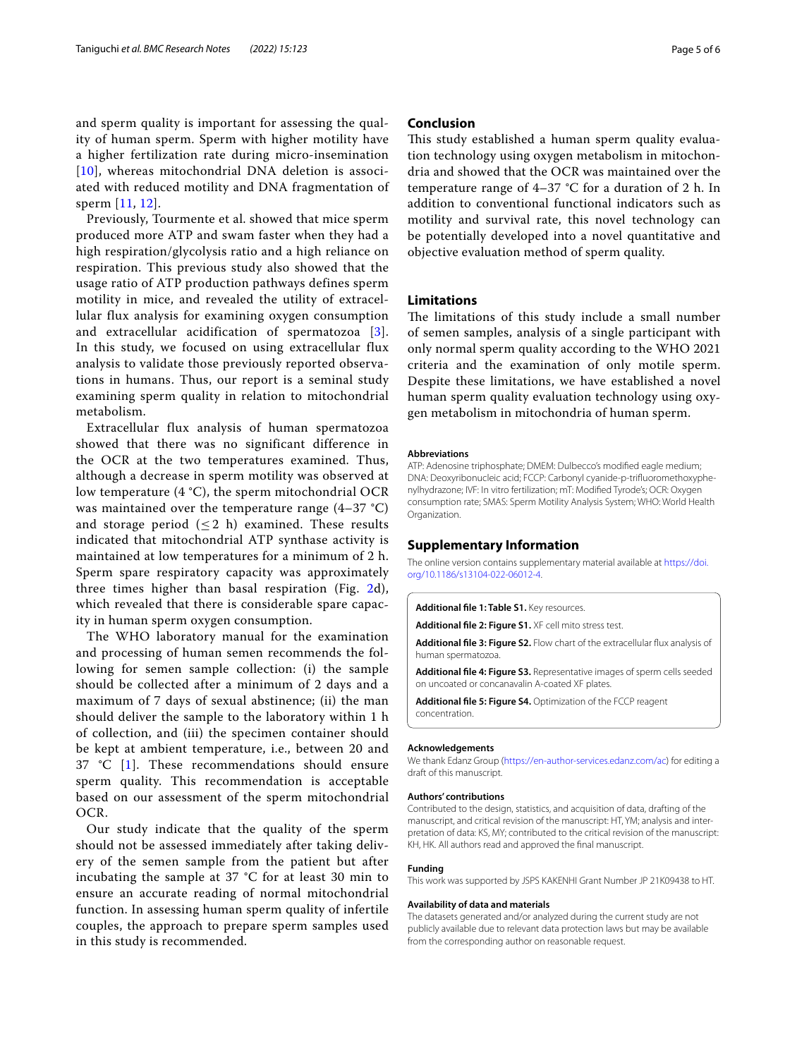and sperm quality is important for assessing the quality of human sperm. Sperm with higher motility have a higher fertilization rate during micro-insemination [[10](#page-5-9)], whereas mitochondrial DNA deletion is associated with reduced motility and DNA fragmentation of sperm [\[11,](#page-5-10) [12\]](#page-5-11).

Previously, Tourmente et al. showed that mice sperm produced more ATP and swam faster when they had a high respiration/glycolysis ratio and a high reliance on respiration. This previous study also showed that the usage ratio of ATP production pathways defines sperm motility in mice, and revealed the utility of extracellular flux analysis for examining oxygen consumption and extracellular acidification of spermatozoa [[3\]](#page-5-2). In this study, we focused on using extracellular flux analysis to validate those previously reported observations in humans. Thus, our report is a seminal study examining sperm quality in relation to mitochondrial metabolism.

Extracellular flux analysis of human spermatozoa showed that there was no significant difference in the OCR at the two temperatures examined. Thus, although a decrease in sperm motility was observed at low temperature (4 °C), the sperm mitochondrial OCR was maintained over the temperature range (4–37 °C) and storage period  $(\leq 2 \text{ h})$  examined. These results indicated that mitochondrial ATP synthase activity is maintained at low temperatures for a minimum of 2 h. Sperm spare respiratory capacity was approximately three times higher than basal respiration (Fig. [2](#page-3-1)d), which revealed that there is considerable spare capacity in human sperm oxygen consumption.

The WHO laboratory manual for the examination and processing of human semen recommends the following for semen sample collection: (i) the sample should be collected after a minimum of 2 days and a maximum of 7 days of sexual abstinence; (ii) the man should deliver the sample to the laboratory within 1 h of collection, and (iii) the specimen container should be kept at ambient temperature, i.e., between 20 and 37 °C [[1\]](#page-5-0). These recommendations should ensure sperm quality. This recommendation is acceptable based on our assessment of the sperm mitochondrial OCR.

Our study indicate that the quality of the sperm should not be assessed immediately after taking delivery of the semen sample from the patient but after incubating the sample at  $37 \text{ °C}$  for at least  $30 \text{ min}$  to ensure an accurate reading of normal mitochondrial function. In assessing human sperm quality of infertile couples, the approach to prepare sperm samples used in this study is recommended.

# **Conclusion**

This study established a human sperm quality evaluation technology using oxygen metabolism in mitochondria and showed that the OCR was maintained over the temperature range of 4–37 °C for a duration of 2 h. In addition to conventional functional indicators such as motility and survival rate, this novel technology can be potentially developed into a novel quantitative and objective evaluation method of sperm quality.

# **Limitations**

The limitations of this study include a small number of semen samples, analysis of a single participant with only normal sperm quality according to the WHO 2021 criteria and the examination of only motile sperm. Despite these limitations, we have established a novel human sperm quality evaluation technology using oxygen metabolism in mitochondria of human sperm.

#### **Abbreviations**

ATP: Adenosine triphosphate; DMEM: Dulbecco's modifed eagle medium; DNA: Deoxyribonucleic acid; FCCP: Carbonyl cyanide-p-trifuoromethoxyphenylhydrazone; IVF: In vitro fertilization; mT: Modifed Tyrode's; OCR: Oxygen consumption rate; SMAS: Sperm Motility Analysis System; WHO: World Health Organization.

#### **Supplementary Information**

The online version contains supplementary material available at [https://doi.](https://doi.org/10.1186/s13104-022-06012-4) [org/10.1186/s13104-022-06012-4](https://doi.org/10.1186/s13104-022-06012-4).

<span id="page-4-0"></span>**Additional fle 1: Table S1.** Key resources.

<span id="page-4-2"></span><span id="page-4-1"></span>**Additional fle 2: Figure S1.** XF cell mito stress test.

<span id="page-4-3"></span>**Additional fle 3: Figure S2.** Flow chart of the extracellular fux analysis of human spermatozoa.

<span id="page-4-4"></span>**Additional fle 4: Figure S3.** Representative images of sperm cells seeded on uncoated or concanavalin A-coated XF plates.

**Additional fle 5: Figure S4.** Optimization of the FCCP reagent concentration.

#### **Acknowledgements**

We thank Edanz Group (<https://en-author-services.edanz.com/ac>) for editing a draft of this manuscript.

#### **Authors' contributions**

Contributed to the design, statistics, and acquisition of data, drafting of the manuscript, and critical revision of the manuscript: HT, YM; analysis and interpretation of data: KS, MY; contributed to the critical revision of the manuscript: KH, HK. All authors read and approved the fnal manuscript.

#### **Funding**

This work was supported by JSPS KAKENHI Grant Number JP 21K09438 to HT.

#### **Availability of data and materials**

The datasets generated and/or analyzed during the current study are not publicly available due to relevant data protection laws but may be available from the corresponding author on reasonable request.